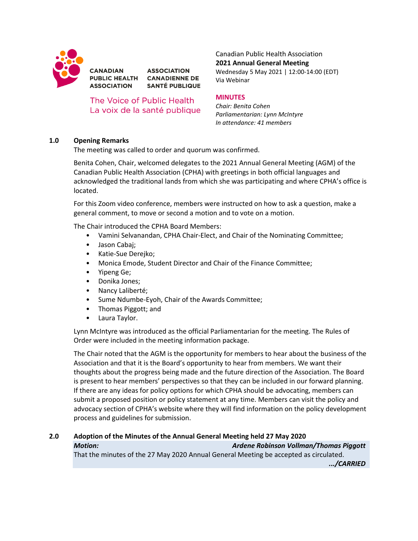

**ASSOCIATION** PUBLIC HEALTH CANADIENNE DE **ASSOCIATION SANTÉ PUBLIQUE** 

The Voice of Public Health La voix de la santé publique Canadian Public Health Association **2021 Annual General Meeting** Wednesday 5 May 2021 | 12:00-14:00 (EDT)

Via Webinar

## **MINUTES**

*Chair: Benita Cohen Parliamentarian: Lynn McIntyre In attendance: 41 members*

## **1.0 Opening Remarks**

**CANADIAN** 

The meeting was called to order and quorum was confirmed.

Benita Cohen, Chair, welcomed delegates to the 2021 Annual General Meeting (AGM) of the Canadian Public Health Association (CPHA) with greetings in both official languages and acknowledged the traditional lands from which she was participating and where CPHA's office is located.

For this Zoom video conference, members were instructed on how to ask a question, make a general comment, to move or second a motion and to vote on a motion.

The Chair introduced the CPHA Board Members:

- Vamini Selvanandan, CPHA Chair-Elect, and Chair of the Nominating Committee;
- Jason Cabaj;
- Katie-Sue Derejko;
- Monica Emode, Student Director and Chair of the Finance Committee;
- Yipeng Ge;
- Donika Jones;
- Nancy Laliberté;
- Sume Ndumbe-Eyoh, Chair of the Awards Committee;
- Thomas Piggott; and
- Laura Taylor.

Lynn McIntyre was introduced as the official Parliamentarian for the meeting. The Rules of Order were included in the meeting information package.

The Chair noted that the AGM is the opportunity for members to hear about the business of the Association and that it is the Board's opportunity to hear from members. We want their thoughts about the progress being made and the future direction of the Association. The Board is present to hear members' perspectives so that they can be included in our forward planning. If there are any ideas for policy options for which CPHA should be advocating, members can submit a proposed position or policy statement at any time. Members can visit the policy and advocacy section of CPHA's website where they will find information on the policy development process and guidelines for submission.

#### **2.0 Adoption of the Minutes of the Annual General Meeting held 27 May 2020** *Motion: Ardene Robinson Vollman/Thomas Piggott*

That the minutes of the 27 May 2020 Annual General Meeting be accepted as circulated. *.../CARRIED*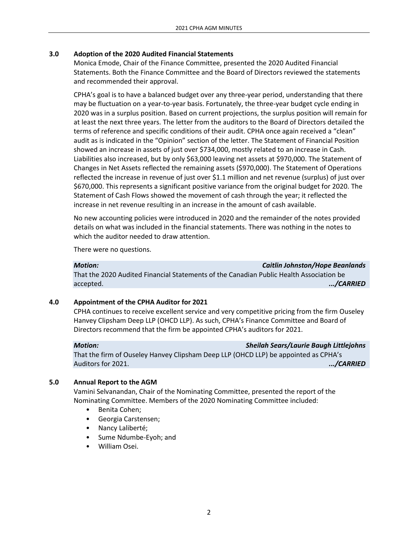## **3.0 Adoption of the 2020 Audited Financial Statements**

Monica Emode, Chair of the Finance Committee, presented the 2020 Audited Financial Statements. Both the Finance Committee and the Board of Directors reviewed the statements and recommended their approval.

CPHA's goal is to have a balanced budget over any three-year period, understanding that there may be fluctuation on a year-to-year basis. Fortunately, the three-year budget cycle ending in 2020 was in a surplus position. Based on current projections, the surplus position will remain for at least the next three years. The letter from the auditors to the Board of Directors detailed the terms of reference and specific conditions of their audit. CPHA once again received a "clean" audit as is indicated in the "Opinion" section of the letter. The Statement of Financial Position showed an increase in assets of just over \$734,000, mostly related to an increase in Cash. Liabilities also increased, but by only \$63,000 leaving net assets at \$970,000. The Statement of Changes in Net Assets reflected the remaining assets (\$970,000). The Statement of Operations reflected the increase in revenue of just over \$1.1 million and net revenue (surplus) of just over \$670,000. This represents a significant positive variance from the original budget for 2020. The Statement of Cash Flows showed the movement of cash through the year; it reflected the increase in net revenue resulting in an increase in the amount of cash available.

No new accounting policies were introduced in 2020 and the remainder of the notes provided details on what was included in the financial statements. There was nothing in the notes to which the auditor needed to draw attention.

There were no questions.

*Motion: Caitlin Johnston/Hope Beanlands*

That the 2020 Audited Financial Statements of the Canadian Public Health Association be accepted. *.../CARRIED*

## **4.0 Appointment of the CPHA Auditor for 2021**

CPHA continues to receive excellent service and very competitive pricing from the firm Ouseley Hanvey Clipsham Deep LLP (OHCD LLP). As such, CPHA's Finance Committee and Board of Directors recommend that the firm be appointed CPHA's auditors for 2021.

#### *Motion: Sheilah Sears/Laurie Baugh Littlejohns*

That the firm of Ouseley Hanvey Clipsham Deep LLP (OHCD LLP) be appointed as CPHA's Auditors for 2021. *.../CARRIED*

### **5.0 Annual Report to the AGM**

Vamini Selvanandan, Chair of the Nominating Committee, presented the report of the Nominating Committee. Members of the 2020 Nominating Committee included:

- Benita Cohen;
- Georgia Carstensen;
- Nancy Laliberté;
- Sume Ndumbe-Eyoh; and
- William Osei.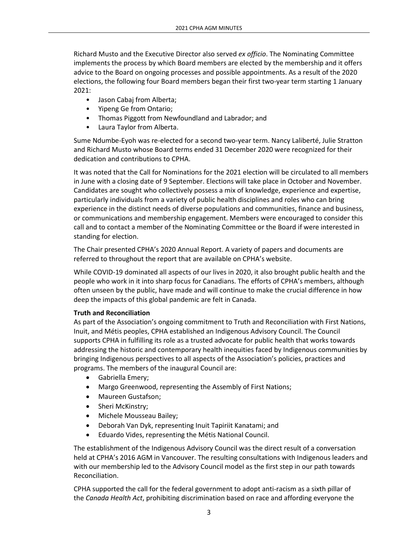Richard Musto and the Executive Director also served *ex officio*. The Nominating Committee implements the process by which Board members are elected by the membership and it offers advice to the Board on ongoing processes and possible appointments. As a result of the 2020 elections, the following four Board members began their first two-year term starting 1 January 2021:

- Jason Cabaj from Alberta;
- Yipeng Ge from Ontario;
- Thomas Piggott from Newfoundland and Labrador; and
- Laura Taylor from Alberta.

Sume Ndumbe-Eyoh was re-elected for a second two-year term. Nancy Laliberté, Julie Stratton and Richard Musto whose Board terms ended 31 December 2020 were recognized for their dedication and contributions to CPHA.

It was noted that the Call for Nominations for the 2021 election will be circulated to all members in June with a closing date of 9 September. Elections will take place in October and November. Candidates are sought who collectively possess a mix of knowledge, experience and expertise, particularly individuals from a variety of public health disciplines and roles who can bring experience in the distinct needs of diverse populations and communities, finance and business, or communications and membership engagement. Members were encouraged to consider this call and to contact a member of the Nominating Committee or the Board if were interested in standing for election.

The Chair presented CPHA's 2020 Annual Report. A variety of papers and documents are referred to throughout the report that are available on CPHA's website.

While COVID-19 dominated all aspects of our lives in 2020, it also brought public health and the people who work in it into sharp focus for Canadians. The efforts of CPHA's members, although often unseen by the public, have made and will continue to make the crucial difference in how deep the impacts of this global pandemic are felt in Canada.

### **Truth and Reconciliation**

As part of the Association's ongoing commitment to Truth and Reconciliation with First Nations, Inuit, and Métis peoples, CPHA established an Indigenous Advisory Council. The Council supports CPHA in fulfilling its role as a trusted advocate for public health that works towards addressing the historic and contemporary health inequities faced by Indigenous communities by bringing Indigenous perspectives to all aspects of the Association's policies, practices and programs. The members of the inaugural Council are:

- Gabriella Emery;
- Margo Greenwood, representing the Assembly of First Nations;
- Maureen Gustafson;
- Sheri McKinstry;
- Michele Mousseau Bailey;
- Deborah Van Dyk, representing Inuit Tapiriit Kanatami; and
- Eduardo Vides, representing the Métis National Council.

The establishment of the Indigenous Advisory Council was the direct result of a conversation held at CPHA's 2016 AGM in Vancouver. The resulting consultations with Indigenous leaders and with our membership led to the Advisory Council model as the first step in our path towards Reconciliation.

CPHA supported the call for the federal government to adopt anti-racism as a sixth pillar of the *Canada Health Act*, prohibiting discrimination based on race and affording everyone the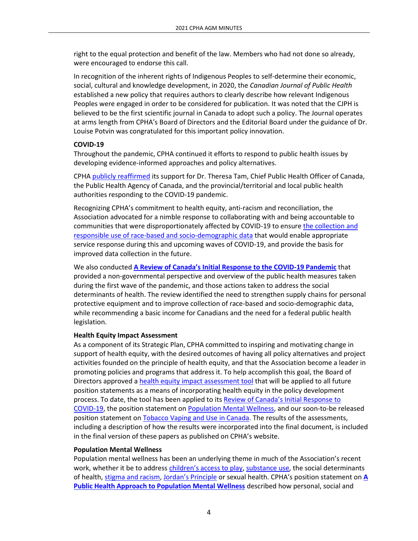right to the equal protection and benefit of the law. Members who had not done so already, were encouraged to endorse this call.

In recognition of the inherent rights of Indigenous Peoples to self-determine their economic, social, cultural and knowledge development, in 2020, the *Canadian Journal of Public Health* established a new policy that requires authors to clearly describe how relevant Indigenous Peoples were engaged in order to be considered for publication. It was noted that the CJPH is believed to be the first scientific journal in Canada to adopt such a policy. The Journal operates at arms length from CPHA's Board of Directors and the Editorial Board under the guidance of Dr. Louise Potvin was congratulated for this important policy innovation.

## **COVID-19**

Throughout the pandemic, CPHA continued it efforts to respond to public health issues by developing evidence-informed approaches and policy alternatives.

CPHA [publicly reaffirmed](https://www.cpha.ca/canadian-public-health-association-affirms-support-chief-public-health-officer-canada-and-public) its support for Dr. Theresa Tam, Chief Public Health Officer of Canada, the Public Health Agency of Canada, and the provincial/territorial and local public health authorities responding to the COVID-19 pandemic.

Recognizing CPHA's commitment to health equity, anti-racism and reconciliation, the Association advocated for a nimble response to collaborating with and being accountable to communities that were disproportionately affected by COVID-19 to ensure [the collection and](https://www.cpha.ca/cpha-calls-culturally-safe-collection-and-use-socio-demographic-and-race-based-data)  [responsible use of race-based and socio-demographic data](https://www.cpha.ca/cpha-calls-culturally-safe-collection-and-use-socio-demographic-and-race-based-data) that would enable appropriate service response during this and upcoming waves of COVID-19, and provide the basis for improved data collection in the future.

We also conducted **[A Review of Canada's Initial Response to the COVID](https://www.cpha.ca/review-canadas-initial-response-covid-19-pandemic)-19 Pandemic** that provided a non-governmental perspective and overview of the public health measures taken during the first wave of the pandemic, and those actions taken to address the social determinants of health. The review identified the need to strengthen supply chains for personal protective equipment and to improve collection of race-based and socio-demographic data, while recommending a basic income for Canadians and the need for a federal public health legislation.

### **Health Equity Impact Assessment**

As a component of its Strategic Plan, CPHA committed to inspiring and motivating change in support of health equity, with the desired outcomes of having all policy alternatives and project activities founded on the principle of health equity, and that the Association become a leader in promoting policies and programs that address it. To help accomplish this goal, the Board of Directors approved a [health equity impact assessment tool](https://www.cpha.ca/policy-statement-health-equity-impact-assessment) that will be applied to all future position statements as a means of incorporating health equity in the policy development process. To date, the tool has been applied to its [Review of Canada's Initial Response to](https://www.cpha.ca/review-canadas-initial-response-covid-19-pandemic)  [COVID-19,](https://www.cpha.ca/review-canadas-initial-response-covid-19-pandemic) the position statement o[n Population Mental Wellness,](https://www.cpha.ca/public-health-approach-population-mental-wellness) and our soon-to-be released position statement o[n Tobacco Vaping](https://www.cpha.ca/tobacco-and-vaping-use-canada-moving-forward) and Use in Canada. The results of the assessments, including a description of how the results were incorporated into the final document, is included in the final version of these papers as published on CPHA's website.

### **Population Mental Wellness**

Population mental wellness has been an underlying theme in much of the Association's recent work, whether it be to address [children's access to play](https://www.cpha.ca/childrens-unstructured-play)[, substance use,](https://www.cpha.ca/decriminalization-personal-use-psychoactive-substances) the social determinants of health, [stigma and racism,](https://www.cpha.ca/racism-and-public-health) [Jordan's Principle](https://www.cpha.ca/jordans-principle-and-public-health) or sexual health. CPHA's position statement on **[A](https://www.cpha.ca/public-health-approach-population-mental-wellness)  [Public Health Approach to Population Mental Wellness](https://www.cpha.ca/public-health-approach-population-mental-wellness)** described how personal, social and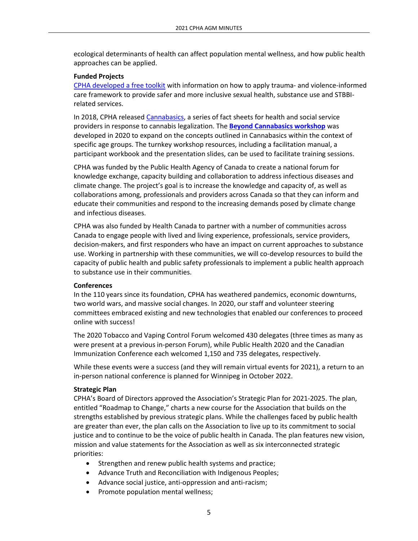ecological determinants of health can affect population mental wellness, and how public health approaches can be applied.

#### **Funded Projects**

[CPHA developed a free toolkit](https://www.cpha.ca/trauma-and-violence-informed-care-toolkit-reducing-stigma-related-sexually-transmitted-and-blood) with information on how to apply trauma- and violence-informed care framework to provide safer and more inclusive sexual health, substance use and STBBIrelated services.

In 2018, CPHA released [Cannabasics,](https://www.cpha.ca/cannabasics) a series of fact sheets for health and social service providers in response to cannabis legalization. The **[Beyond Cannabasics workshop](https://substanceuse.ca/beyond-cannabasics-public-health-approach-cannabis-youth-emerging-adults-and-seniors)** was developed in 2020 to expand on the concepts outlined in Cannabasics within the context of specific age groups. The turnkey workshop resources, including a facilitation manual, a participant workbook and the presentation slides, can be used to facilitate training sessions.

CPHA was funded by the Public Health Agency of Canada to create a national forum for knowledge exchange, capacity building and collaboration to address infectious diseases and climate change. The project's goal is to increase the knowledge and capacity of, as well as collaborations among, professionals and providers across Canada so that they can inform and educate their communities and respond to the increasing demands posed by climate change and infectious diseases.

CPHA was also funded by Health Canada to partner with a number of communities across Canada to engage people with lived and living experience, professionals, service providers, decision-makers, and first responders who have an impact on current approaches to substance use. Working in partnership with these communities, we will co-develop resources to build the capacity of public health and public safety professionals to implement a public health approach to substance use in their communities.

#### **Conferences**

In the 110 years since its foundation, CPHA has weathered pandemics, economic downturns, two world wars, and massive social changes. In 2020, our staff and volunteer steering committees embraced existing and new technologies that enabled our conferences to proceed online with success!

The 2020 Tobacco and Vaping Control Forum welcomed 430 delegates (three times as many as were present at a previous in-person Forum), while Public Health 2020 and the Canadian Immunization Conference each welcomed 1,150 and 735 delegates, respectively.

While these events were a success (and they will remain virtual events for 2021), a return to an in-person national conference is planned for Winnipeg in October 2022.

#### **Strategic Plan**

CPHA's Board of Directors approved the Association's Strategic Plan for 2021-2025. The plan, entitled "Roadmap to Change," charts a new course for the Association that builds on the strengths established by previous strategic plans. While the challenges faced by public health are greater than ever, the plan calls on the Association to live up to its commitment to social justice and to continue to be the voice of public health in Canada. The plan features new vision, mission and value statements for the Association as well as six interconnected strategic priorities:

- Strengthen and renew public health systems and practice;
- Advance Truth and Reconciliation with Indigenous Peoples;
- Advance social justice, anti-oppression and anti-racism;
- Promote population mental wellness;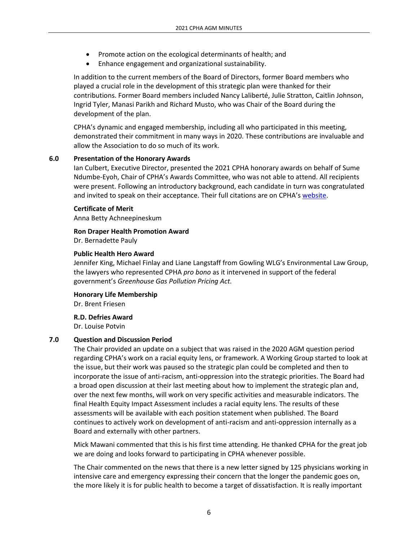- Promote action on the ecological determinants of health; and
- Enhance engagement and organizational sustainability.

In addition to the current members of the Board of Directors, former Board members who played a crucial role in the development of this strategic plan were thanked for their contributions. Former Board members included Nancy Laliberté, Julie Stratton, Caitlin Johnson, Ingrid Tyler, Manasi Parikh and Richard Musto, who was Chair of the Board during the development of the plan.

CPHA's dynamic and engaged membership, including all who participated in this meeting, demonstrated their commitment in many ways in 2020. These contributions are invaluable and allow the Association to do so much of its work.

## **6.0 Presentation of the Honorary Awards**

Ian Culbert, Executive Director, presented the 2021 CPHA honorary awards on behalf of Sume Ndumbe-Eyoh, Chair of CPHA's Awards Committee, who was not able to attend. All recipients were present. Following an introductory background, each candidate in turn was congratulated and invited to speak on their acceptance. Their full citations are on CPHA's [website.](https://www.cpha.ca/honorary-awards-program)

### **Certificate of Merit**

Anna Betty Achneepineskum

# **Ron Draper Health Promotion Award**

Dr. Bernadette Pauly

### **Public Health Hero Award**

Jennifer King, Michael Finlay and Liane Langstaff from Gowling WLG's Environmental Law Group, the lawyers who represented CPHA *pro bono* as it intervened in support of the federal government's *Greenhouse Gas Pollution Pricing Act.*

**Honorary Life Membership**

Dr. Brent Friesen

### **R.D. Defries Award**

Dr. Louise Potvin

# **7.0 Question and Discussion Period**

The Chair provided an update on a subject that was raised in the 2020 AGM question period regarding CPHA's work on a racial equity lens, or framework. A Working Group started to look at the issue, but their work was paused so the strategic plan could be completed and then to incorporate the issue of anti-racism, anti-oppression into the strategic priorities. The Board had a broad open discussion at their last meeting about how to implement the strategic plan and, over the next few months, will work on very specific activities and measurable indicators. The final Health Equity Impact Assessment includes a racial equity lens. The results of these assessments will be available with each position statement when published. The Board continues to actively work on development of anti-racism and anti-oppression internally as a Board and externally with other partners.

Mick Mawani commented that this is his first time attending. He thanked CPHA for the great job we are doing and looks forward to participating in CPHA whenever possible.

The Chair commented on the news that there is a new letter signed by 125 physicians working in intensive care and emergency expressing their concern that the longer the pandemic goes on, the more likely it is for public health to become a target of dissatisfaction. It is really important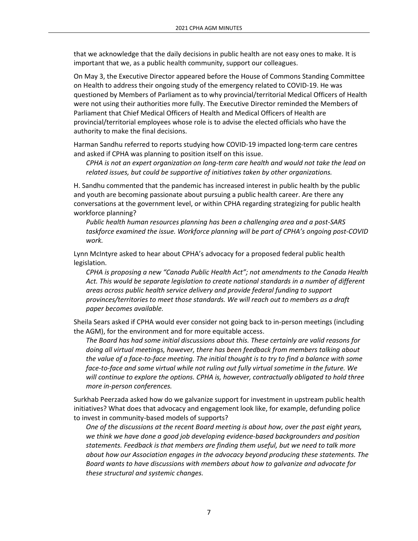that we acknowledge that the daily decisions in public health are not easy ones to make. It is important that we, as a public health community, support our colleagues.

On May 3, the Executive Director appeared before the House of Commons Standing Committee on Health to address their ongoing study of the emergency related to COVID-19. He was questioned by Members of Parliament as to why provincial/territorial Medical Officers of Health were not using their authorities more fully. The Executive Director reminded the Members of Parliament that Chief Medical Officers of Health and Medical Officers of Health are provincial/territorial employees whose role is to advise the elected officials who have the authority to make the final decisions.

Harman Sandhu referred to reports studying how COVID-19 impacted long-term care centres and asked if CPHA was planning to position itself on this issue.

*CPHA is not an expert organization on long-term care health and would not take the lead on related issues, but could be supportive of initiatives taken by other organizations.* 

H. Sandhu commented that the pandemic has increased interest in public health by the public and youth are becoming passionate about pursuing a public health career. Are there any conversations at the government level, or within CPHA regarding strategizing for public health workforce planning?

*Public health human resources planning has been a challenging area and a post-SARS taskforce examined the issue. Workforce planning will be part of CPHA's ongoing post-COVID work.*

Lynn McIntyre asked to hear about CPHA's advocacy for a proposed federal public health legislation.

*CPHA is proposing a new "Canada Public Health Act"; not amendments to the Canada Health Act. This would be separate legislation to create national standards in a number of different areas across public health service delivery and provide federal funding to support provinces/territories to meet those standards. We will reach out to members as a draft paper becomes available.*

Sheila Sears asked if CPHA would ever consider not going back to in-person meetings (including the AGM), for the environment and for more equitable access.

*The Board has had some initial discussions about this. These certainly are valid reasons for doing all virtual meetings, however, there has been feedback from members talking about the value of a face-to-face meeting. The initial thought is to try to find a balance with some face-to-face and some virtual while not ruling out fully virtual sometime in the future. We will continue to explore the options. CPHA is, however, contractually obligated to hold three more in-person conferences.*

Surkhab Peerzada asked how do we galvanize support for investment in upstream public health initiatives? What does that advocacy and engagement look like, for example, defunding police to invest in community-based models of supports?

*One of the discussions at the recent Board meeting is about how, over the past eight years, we think we have done a good job developing evidence-based backgrounders and position statements. Feedback is that members are finding them useful, but we need to talk more about how our Association engages in the advocacy beyond producing these statements. The Board wants to have discussions with members about how to galvanize and advocate for these structural and systemic changes.*